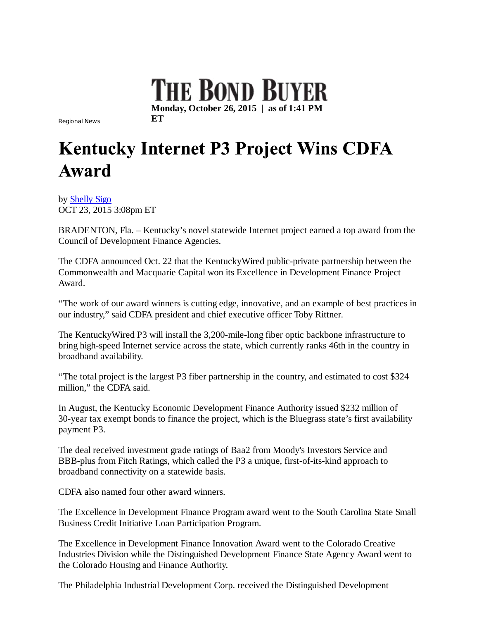

Regional News **ET**

## **Kentucky Internet P3 Project Wins CDFA** Award

by Shelly Sigo OCT 23, 2015 3:08pm ET

BRADENTON, Fla. – Kentucky's novel statewide Internet project earned a top award from the Council of Development Finance Agencies.

The CDFA announced Oct. 22 that the KentuckyWired public-private partnership between the Commonwealth and Macquarie Capital won its Excellence in Development Finance Project Award.

"The work of our award winners is cutting edge, innovative, and an example of best practices in our industry," said CDFA president and chief executive officer Toby Rittner.

The KentuckyWired P3 will install the 3,200-mile-long fiber optic backbone infrastructure to bring high-speed Internet service across the state, which currently ranks 46th in the country in broadband availability.

"The total project is the largest P3 fiber partnership in the country, and estimated to cost \$324 million," the CDFA said.

In August, the Kentucky Economic Development Finance Authority issued \$232 million of 30-year tax exempt bonds to finance the project, which is the Bluegrass state's first availability payment P3.

The deal received investment grade ratings of Baa2 from Moody's Investors Service and BBB-plus from Fitch Ratings, which called the P3 a unique, first-of-its-kind approach to broadband connectivity on a statewide basis.

CDFA also named four other award winners.

The Excellence in Development Finance Program award went to the South Carolina State Small Business Credit Initiative Loan Participation Program.

The Excellence in Development Finance Innovation Award went to the Colorado Creative Industries Division while the Distinguished Development Finance State Agency Award went to the Colorado Housing and Finance Authority.

The Philadelphia Industrial Development Corp. received the Distinguished Development